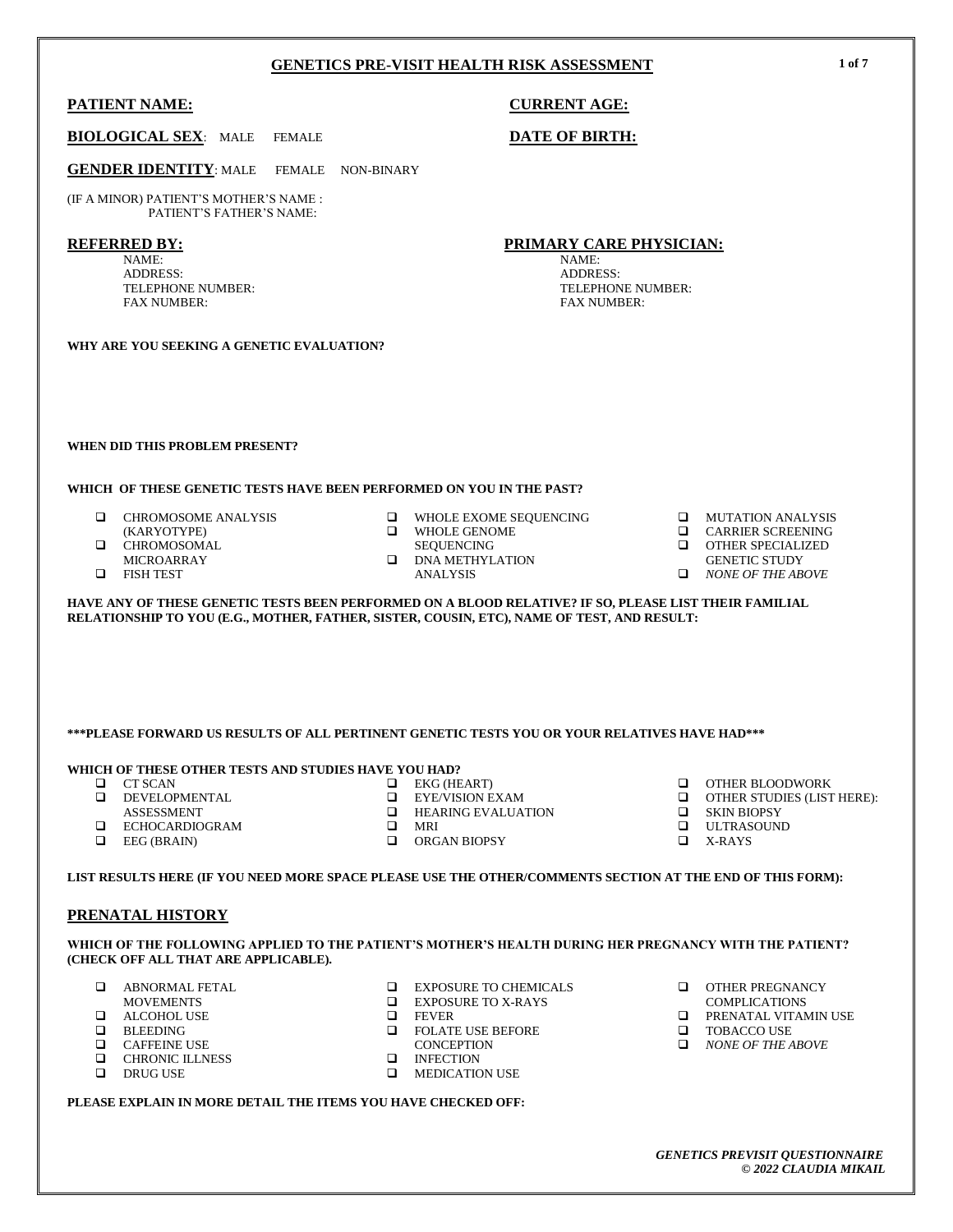## **PATIENT NAME: CURRENT AGE:**

## **BIOLOGICAL SEX**: MALE FEMALE **DATE OF BIRTH:**

**GENDER IDENTITY**: MALE FEMALE NON-BINARY

(IF A MINOR) PATIENT'S MOTHER'S NAME : PATIENT'S FATHER'S NAME:

#### **REFERRED BY:**

NAME: ADDRESS: TELEPHONE NUMBER: FAX NUMBER:

**WHY ARE YOU SEEKING A GENETIC EVALUATION?**

#### **WHEN DID THIS PROBLEM PRESENT?**

#### **WHICH OF THESE GENETIC TESTS HAVE BEEN PERFORMED ON YOU IN THE PAST?**

- **Q** CHROMOSOME ANALYSIS (KARYOTYPE)
- **Q** CHROMOSOMAL
- MICROARRAY
- **O** FISH TEST
- $\Box$  WHOLE EXOME SEQUENCING  $\Box$  WHOLE GENOME
	- WHOLE GENOME
- SEQUENCING **DNA METHYLATION**
- ANALYSIS
- 
- 
- **Q** MUTATION ANALYSIS
- Q CARRIER SCREENING<br>Q OTHER SPECIALIZED
- OTHER SPECIALIZED
- GENETIC STUDY
- *NONE OF THE ABOVE*

**HAVE ANY OF THESE GENETIC TESTS BEEN PERFORMED ON A BLOOD RELATIVE? IF SO, PLEASE LIST THEIR FAMILIAL RELATIONSHIP TO YOU (E.G., MOTHER, FATHER, SISTER, COUSIN, ETC), NAME OF TEST, AND RESULT:**

# **\*\*\*PLEASE FORWARD US RESULTS OF ALL PERTINENT GENETIC TESTS YOU OR YOUR RELATIVES HAVE HAD\*\*\***

## **WHICH OF THESE OTHER TESTS AND STUDIES HAVE YOU HAD?**

- **Q** CT SCAN
- **DEVELOPMENTAL** 
	- ASSESSMENT
- ECHOCARDIOGRAM  $\Box$  EEG (BRAIN)
	-
- $\Box$  EKG (HEART)<br> $\Box$  EYE/VISION E **EXECTS AND SEXAM**<br> **EXAMPLE EXAMPLE EXALUATE**
- $\Box$  HEARING EVALUATION<br> $\Box$  MRI MRI
- ORGAN BIOPSY
- O OTHER BLOODWORK
- OTHER STUDIES (LIST HERE):
- $\Box$  SKIN BIOPSY
- ULTRASOUND
- X-RAYS

# **LIST RESULTS HERE (IF YOU NEED MORE SPACE PLEASE USE THE OTHER/COMMENTS SECTION AT THE END OF THIS FORM):**

# **PRENATAL HISTORY**

#### **WHICH OF THE FOLLOWING APPLIED TO THE PATIENT'S MOTHER'S HEALTH DURING HER PREGNANCY WITH THE PATIENT? (CHECK OFF ALL THAT ARE APPLICABLE).**

 $\Box$  EXPOSURE TO CHEMICALS<br> $\Box$  EXPOSURE TO X-RAYS

- **Q** ABNORMAL FETAL
- MOVEMENTS
- **ALCOHOL USE**
- **Q** BLEEDING<br>**Q** CAFFEINE
- **Q** CAFFEINE USE<br>**Q** CHRONIC ILLNI
- Q CHRONIC ILLNESS<br>Q DRUG USE
- DRUG USE
- $\Box$  EXPOSURE TO X-RAYS FEVER **Q** FOLATE USE BEFORE
	- **CONCEPTION**
	- INFECTION<br>I MEDICATIO
- MEDICATION USE

**PLEASE EXPLAIN IN MORE DETAIL THE ITEMS YOU HAVE CHECKED OFF:**

- **OTHER PREGNANCY**
- COMPLICATIONS
- **D** PRENATAL VITAMIN USE
- **O** TOBACCO USE *NONE OF THE ABOVE*
- *GENETICS PREVISIT QUESTIONNAIRE © 2022 CLAUDIA MIKAIL*

**PRIMARY CARE PHYSICIAN:** NAME:

ADDRESS: TELEPHONE NUMBER: FAX NUMBER:

**1 of 7**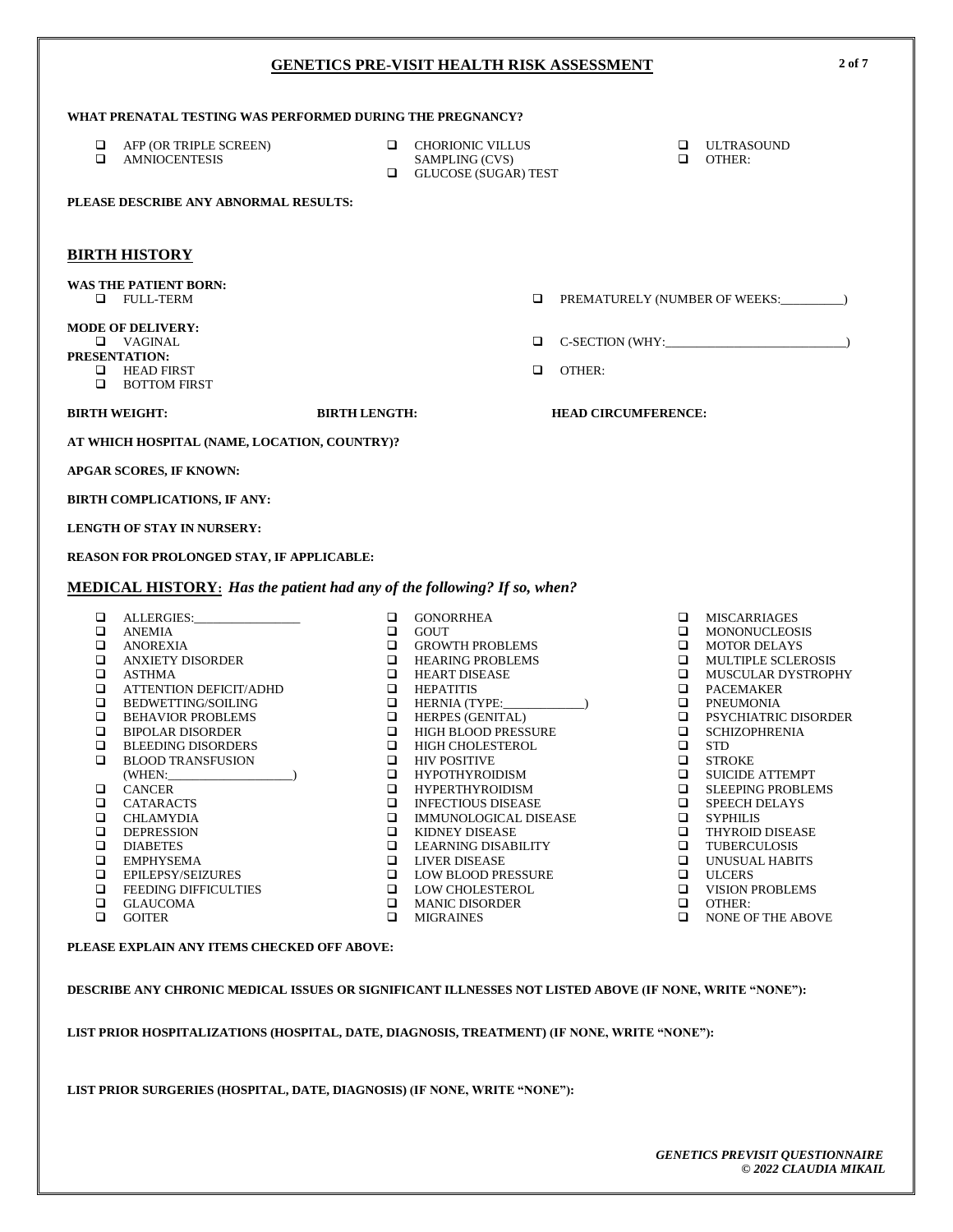| WHAT PRENATAL TESTING WAS PERFORMED DURING THE PREGNANCY?                                              |                                              |                              |                  |                                                    |
|--------------------------------------------------------------------------------------------------------|----------------------------------------------|------------------------------|------------------|----------------------------------------------------|
| $\Box$<br>AFP (OR TRIPLE SCREEN)<br>□<br><b>AMNIOCENTESIS</b>                                          | <b>Q</b> CHORIONIC VILLUS<br>SAMPLING (CVS)  |                              | ▫<br>$\Box$      | <b>ULTRASOUND</b><br>OTHER:                        |
|                                                                                                        | <b>Q</b> GLUCOSE (SUGAR) TEST                |                              |                  |                                                    |
| PLEASE DESCRIBE ANY ABNORMAL RESULTS:                                                                  |                                              |                              |                  |                                                    |
|                                                                                                        |                                              |                              |                  |                                                    |
| <b>BIRTH HISTORY</b>                                                                                   |                                              |                              |                  |                                                    |
| <b>WAS THE PATIENT BORN:</b>                                                                           |                                              |                              |                  |                                                    |
| <b>Q</b> FULL-TERM                                                                                     |                                              | □                            |                  | PREMATURELY (NUMBER OF WEEKS: _________)           |
| <b>MODE OF DELIVERY:</b>                                                                               |                                              |                              |                  |                                                    |
| $\Box$ VAGINAL<br>PRESENTATION:                                                                        |                                              | □                            |                  |                                                    |
| <b>EXAMPLE HEAD FIRST</b>                                                                              |                                              | □<br>OTHER:                  |                  |                                                    |
| <b>BOTTOM FIRST</b><br>□                                                                               |                                              |                              |                  |                                                    |
| <b>BIRTH WEIGHT:</b>                                                                                   | <b>BIRTH LENGTH:</b>                         | <b>HEAD CIRCUMFERENCE:</b>   |                  |                                                    |
| AT WHICH HOSPITAL (NAME, LOCATION, COUNTRY)?                                                           |                                              |                              |                  |                                                    |
| APGAR SCORES, IF KNOWN:                                                                                |                                              |                              |                  |                                                    |
| BIRTH COMPLICATIONS, IF ANY:                                                                           |                                              |                              |                  |                                                    |
| <b>LENGTH OF STAY IN NURSERY:</b>                                                                      |                                              |                              |                  |                                                    |
| REASON FOR PROLONGED STAY, IF APPLICABLE:                                                              |                                              |                              |                  |                                                    |
| <b>MEDICAL HISTORY:</b> Has the patient had any of the following? If so, when?                         |                                              |                              |                  |                                                    |
|                                                                                                        |                                              |                              |                  |                                                    |
| □<br>$\Box$<br><b>ANEMIA</b>                                                                           | $\Box$<br><b>GONORRHEA</b><br>$\Box$<br>GOUT |                              | $\Box$<br>$\Box$ | MISCARRIAGES<br><b>MONONUCLEOSIS</b>               |
| $\Box$<br>ANOREXIA                                                                                     | $\Box$                                       | <b>GROWTH PROBLEMS</b>       | $\Box$           | <b>MOTOR DELAYS</b>                                |
| $\Box$<br><b>ANXIETY DISORDER</b>                                                                      | $\Box$<br>HEARING PROBLEMS                   |                              | $\Box$           | MULTIPLE SCLEROSIS                                 |
| ❏<br>ASTHMA                                                                                            | □<br><b>HEART DISEASE</b>                    |                              | $\Box$           | MUSCULAR DYSTROPHY                                 |
| $\Box$<br>ATTENTION DEFICIT/ADHD<br>❏<br>BEDWETTING/SOILING                                            | □<br>HEPATITIS<br>$\Box$                     | HERNIA (TYPE:______          |                  | <b>Q</b> PACEMAKER<br>$\square$ PNEUMONIA          |
| □<br><b>BEHAVIOR PROBLEMS</b>                                                                          | $\Box$<br><b>HERPES (GENITAL)</b>            |                              | $\Box$           | PSYCHIATRIC DISORDER                               |
| $\Box$<br><b>BIPOLAR DISORDER</b>                                                                      | $\Box$                                       | HIGH BLOOD PRESSURE          | $\Box$           | <b>SCHIZOPHRENIA</b>                               |
| □<br><b>BLEEDING DISORDERS</b>                                                                         | <b>E HIGH CHOLESTEROL</b>                    |                              | $\Box$           | <b>STD</b>                                         |
| □<br><b>BLOOD TRANSFUSION</b>                                                                          | $\Box$ HIV POSITIVE                          |                              | $\Box$           | <b>STROKE</b>                                      |
| (WHEN:<br>□<br><b>CANCER</b>                                                                           | □<br><b>HYPOTHYROIDISM</b><br>$\Box$         | <b>HYPERTHYROIDISM</b>       | ▫<br>$\Box$      | <b>SUICIDE ATTEMPT</b><br><b>SLEEPING PROBLEMS</b> |
| ⊔<br>CATARACTS                                                                                         | ⊔                                            | <b>INFECTIOUS DISEASE</b>    | ⊔                | <b>SPEECH DELAYS</b>                               |
| ❏<br>CHLAMYDIA                                                                                         | □                                            | <b>IMMUNOLOGICAL DISEASE</b> | ▫                | <b>SYPHILIS</b>                                    |
| □<br><b>DEPRESSION</b>                                                                                 | ❏<br><b>KIDNEY DISEASE</b>                   |                              | ▫                | <b>THYROID DISEASE</b>                             |
| $\Box$<br><b>DIABETES</b><br>$\Box$                                                                    | □                                            | LEARNING DISABILITY          | ▫<br>▫           | <b>TUBERCULOSIS</b><br>UNUSUAL HABITS              |
| <b>EMPHYSEMA</b><br>$\Box$<br><b>EPILEPSY/SEIZURES</b>                                                 | <b>LIVER DISEASE</b><br>□<br>□               | <b>LOW BLOOD PRESSURE</b>    | $\Box$           | <b>ULCERS</b>                                      |
| <b>FEEDING DIFFICULTIES</b><br>□                                                                       | □                                            | LOW CHOLESTEROL              |                  | <b>VISION PROBLEMS</b>                             |
| □<br><b>GLAUCOMA</b>                                                                                   | <b>MANIC DISORDER</b><br>□                   |                              | $\Box$           | OTHER:                                             |
| ▫<br><b>GOITER</b>                                                                                     | □<br><b>MIGRAINES</b>                        |                              | ▫                | <b>NONE OF THE ABOVE</b>                           |
| PLEASE EXPLAIN ANY ITEMS CHECKED OFF ABOVE:                                                            |                                              |                              |                  |                                                    |
| DESCRIBE ANY CHRONIC MEDICAL ISSUES OR SIGNIFICANT ILLNESSES NOT LISTED ABOVE (IF NONE, WRITE "NONE"): |                                              |                              |                  |                                                    |

**LIST PRIOR HOSPITALIZATIONS (HOSPITAL, DATE, DIAGNOSIS, TREATMENT) (IF NONE, WRITE "NONE"):**

**LIST PRIOR SURGERIES (HOSPITAL, DATE, DIAGNOSIS) (IF NONE, WRITE "NONE"):**

**2 of 7**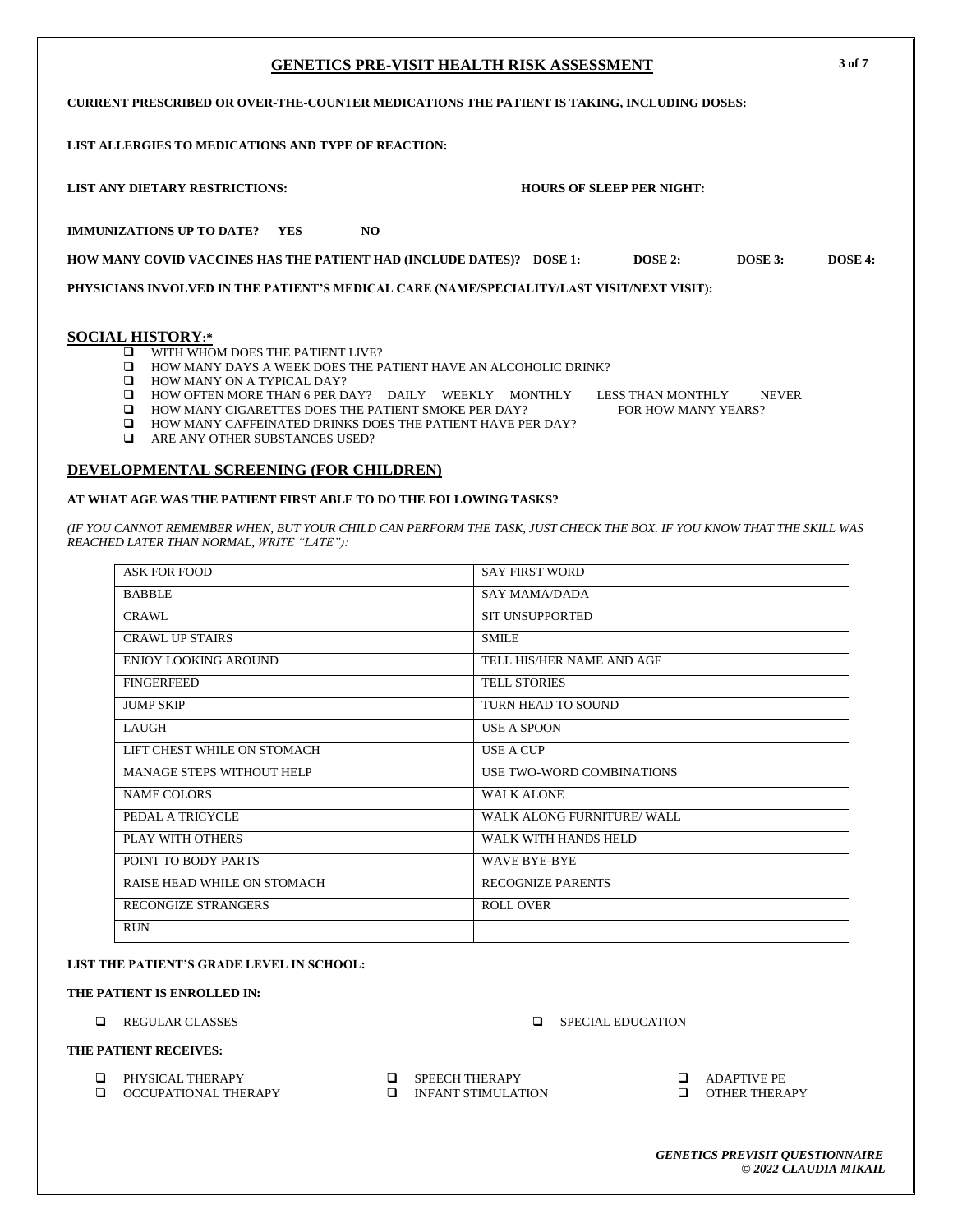# **GENETICS PRE-VISIT HEALTH RISK ASSESSMENT 3 of 7 CURRENT PRESCRIBED OR OVER-THE-COUNTER MEDICATIONS THE PATIENT IS TAKING, INCLUDING DOSES: LIST ALLERGIES TO MEDICATIONS AND TYPE OF REACTION: LIST ANY DIETARY RESTRICTIONS: HOURS OF SLEEP PER NIGHT: IMMUNIZATIONS UP TO DATE?** YES NO **HOW MANY COVID VACCINES HAS THE PATIENT HAD (INCLUDE DATES)? DOSE 1: DOSE 2: DOSE 3: DOSE 4:** PHYSICIANS INVOLVED IN THE PATIENT'S MEDICAL CARE (NAME/SPECIALITY/LAST VISIT/NEXT VISIT): **SOCIAL HISTORY:\*** WITH WHOM DOES THE PATIENT LIVE? HOW MANY DAYS A WEEK DOES THE PATIENT HAVE AN ALCOHOLIC DRINK? **HOW MANY ON A TYPICAL DAY?**  HOW OFTEN MORE THAN 6 PER DAY? DAILY WEEKLY MONTHLY LESS THAN MONTHLY NEVER  $\Box$  HOW MANY CIGARETTES DOES THE PATIENT SMOKE PER DAY? FOR HOW MANY YEARS?

- 
- 

# **DEVELOPMENTAL SCREENING (FOR CHILDREN)**

# **AT WHAT AGE WAS THE PATIENT FIRST ABLE TO DO THE FOLLOWING TASKS?**

*(IF YOU CANNOT REMEMBER WHEN, BUT YOUR CHILD CAN PERFORM THE TASK, JUST CHECK THE BOX. IF YOU KNOW THAT THE SKILL WAS REACHED LATER THAN NORMAL, WRITE "LATE"):*

| <b>ASK FOR FOOD</b>              | <b>SAY FIRST WORD</b>      |
|----------------------------------|----------------------------|
| <b>BABBLE</b>                    | <b>SAY MAMA/DADA</b>       |
| <b>CRAWL</b>                     | <b>SIT UNSUPPORTED</b>     |
| <b>CRAWL UP STAIRS</b>           | <b>SMILE</b>               |
| <b>ENJOY LOOKING AROUND</b>      | TELL HIS/HER NAME AND AGE  |
| <b>FINGERFEED</b>                | <b>TELL STORIES</b>        |
| <b>JUMP SKIP</b>                 | TURN HEAD TO SOUND         |
| <b>LAUGH</b>                     | <b>USE A SPOON</b>         |
| LIFT CHEST WHILE ON STOMACH      | <b>USE A CUP</b>           |
| <b>MANAGE STEPS WITHOUT HELP</b> | USE TWO-WORD COMBINATIONS  |
| <b>NAME COLORS</b>               | <b>WALK ALONE</b>          |
| PEDAL A TRICYCLE                 | WALK ALONG FURNITURE/ WALL |
| PLAY WITH OTHERS                 | WALK WITH HANDS HELD       |
| POINT TO BODY PARTS              | <b>WAVE BYE-BYE</b>        |
| RAISE HEAD WHILE ON STOMACH      | <b>RECOGNIZE PARENTS</b>   |
| <b>RECONGIZE STRANGERS</b>       | <b>ROLL OVER</b>           |
| <b>RUN</b>                       |                            |

# **LIST THE PATIENT'S GRADE LEVEL IN SCHOOL:**

# **THE PATIENT IS ENROLLED IN:**

**Q** REGULAR CLASSES **D** SPECIAL EDUCATION

# **THE PATIENT RECEIVES:**

- **Q** PHYSICAL THERAPY
- OCCUPATIONAL THERAPY
- **O** SPEECH THERAPY
- **INFANT STIMULATION**
- **ADAPTIVE PE**
- OTHER THERAPY

- $\Box$  HOW MANY CAFFEINATED DRINKS DOES THE PATIENT HAVE PER DAY?
- **Q** ARE ANY OTHER SUBSTANCES USED?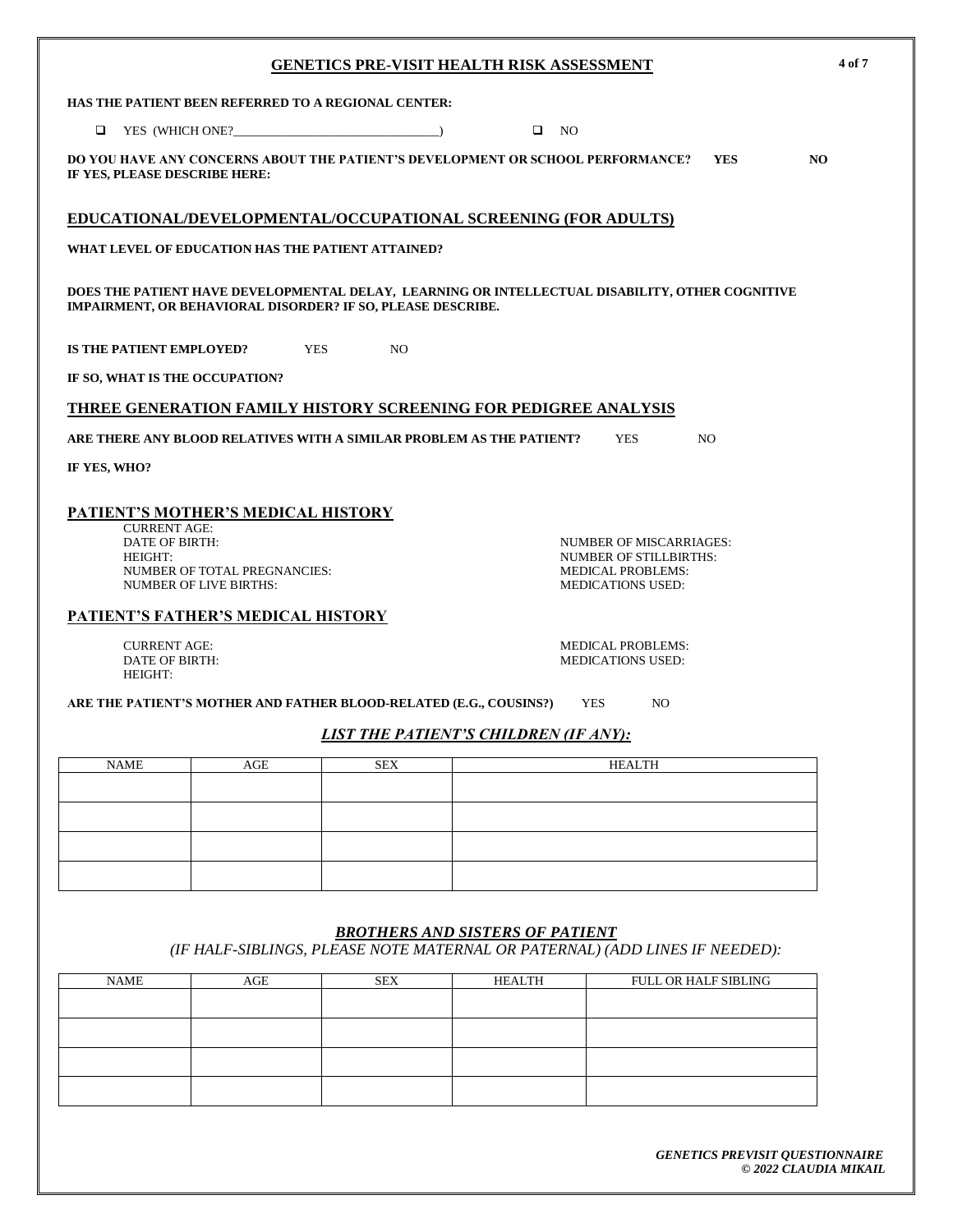| <b>GENETICS PRE-VISIT HEALTH RISK ASSESSMENT</b> |                                                                                                                                           |                |                                                                                                 |                                                                                                                  | 4 of 7     |     |
|--------------------------------------------------|-------------------------------------------------------------------------------------------------------------------------------------------|----------------|-------------------------------------------------------------------------------------------------|------------------------------------------------------------------------------------------------------------------|------------|-----|
|                                                  | HAS THE PATIENT BEEN REFERRED TO A REGIONAL CENTER:                                                                                       |                |                                                                                                 |                                                                                                                  |            |     |
| □                                                | YES (WHICH ONE?                                                                                                                           |                | $\Box$ NO                                                                                       |                                                                                                                  |            |     |
| IF YES, PLEASE DESCRIBE HERE:                    |                                                                                                                                           |                | DO YOU HAVE ANY CONCERNS ABOUT THE PATIENT'S DEVELOPMENT OR SCHOOL PERFORMANCE?                 |                                                                                                                  | <b>YES</b> | NO. |
|                                                  |                                                                                                                                           |                | <b>EDUCATIONAL/DEVELOPMENTAL/OCCUPATIONAL SCREENING (FOR ADULTS)</b>                            |                                                                                                                  |            |     |
|                                                  | WHAT LEVEL OF EDUCATION HAS THE PATIENT ATTAINED?                                                                                         |                |                                                                                                 |                                                                                                                  |            |     |
|                                                  | IMPAIRMENT, OR BEHAVIORAL DISORDER? IF SO, PLEASE DESCRIBE.                                                                               |                | DOES THE PATIENT HAVE DEVELOPMENTAL DELAY, LEARNING OR INTELLECTUAL DISABILITY, OTHER COGNITIVE |                                                                                                                  |            |     |
| IS THE PATIENT EMPLOYED?                         | <b>YES</b>                                                                                                                                | N <sub>O</sub> |                                                                                                 |                                                                                                                  |            |     |
| IF SO, WHAT IS THE OCCUPATION?                   |                                                                                                                                           |                |                                                                                                 |                                                                                                                  |            |     |
|                                                  |                                                                                                                                           |                | THREE GENERATION FAMILY HISTORY SCREENING FOR PEDIGREE ANALYSIS                                 |                                                                                                                  |            |     |
|                                                  |                                                                                                                                           |                | ARE THERE ANY BLOOD RELATIVES WITH A SIMILAR PROBLEM AS THE PATIENT?                            | <b>YES</b>                                                                                                       | NO.        |     |
| IF YES, WHO?                                     |                                                                                                                                           |                |                                                                                                 |                                                                                                                  |            |     |
| <b>CURRENT AGE:</b><br>DATE OF BIRTH:<br>HEIGHT: | PATIENT'S MOTHER'S MEDICAL HISTORY<br>NUMBER OF TOTAL PREGNANCIES:<br><b>NUMBER OF LIVE BIRTHS:</b><br>PATIENT'S FATHER'S MEDICAL HISTORY |                |                                                                                                 | NUMBER OF MISCARRIAGES:<br><b>NUMBER OF STILLBIRTHS:</b><br><b>MEDICAL PROBLEMS:</b><br><b>MEDICATIONS USED:</b> |            |     |
| <b>CURRENT AGE:</b>                              |                                                                                                                                           |                |                                                                                                 | <b>MEDICAL PROBLEMS:</b>                                                                                         |            |     |
| DATE OF BIRTH:<br>HEIGHT:                        |                                                                                                                                           |                |                                                                                                 | <b>MEDICATIONS USED:</b>                                                                                         |            |     |
|                                                  | ARE THE PATIENT'S MOTHER AND FATHER BLOOD-RELATED (E.G., COUSINS?)                                                                        |                |                                                                                                 | <b>YES</b><br>NO.                                                                                                |            |     |
|                                                  |                                                                                                                                           |                | <b>LIST THE PATIENT'S CHILDREN (IF ANY):</b>                                                    |                                                                                                                  |            |     |
| <b>NAME</b>                                      | AGE                                                                                                                                       | <b>SEX</b>     |                                                                                                 | <b>HEALTH</b>                                                                                                    |            |     |
|                                                  |                                                                                                                                           |                |                                                                                                 |                                                                                                                  |            |     |
|                                                  |                                                                                                                                           |                |                                                                                                 |                                                                                                                  |            |     |
|                                                  |                                                                                                                                           |                |                                                                                                 |                                                                                                                  |            |     |
|                                                  |                                                                                                                                           |                |                                                                                                 |                                                                                                                  |            |     |
|                                                  |                                                                                                                                           |                |                                                                                                 |                                                                                                                  |            |     |
|                                                  |                                                                                                                                           |                | <b>BROTHERS AND SISTERS OF PATIENT</b>                                                          |                                                                                                                  |            |     |

*(IF HALF-SIBLINGS, PLEASE NOTE MATERNAL OR PATERNAL) (ADD LINES IF NEEDED):*

| <b>NAME</b> | AGE | <b>SEX</b> | HEALTH | FULL OR HALF SIBLING |
|-------------|-----|------------|--------|----------------------|
|             |     |            |        |                      |
|             |     |            |        |                      |
|             |     |            |        |                      |
|             |     |            |        |                      |
|             |     |            |        |                      |
|             |     |            |        |                      |
|             |     |            |        |                      |
|             |     |            |        |                      |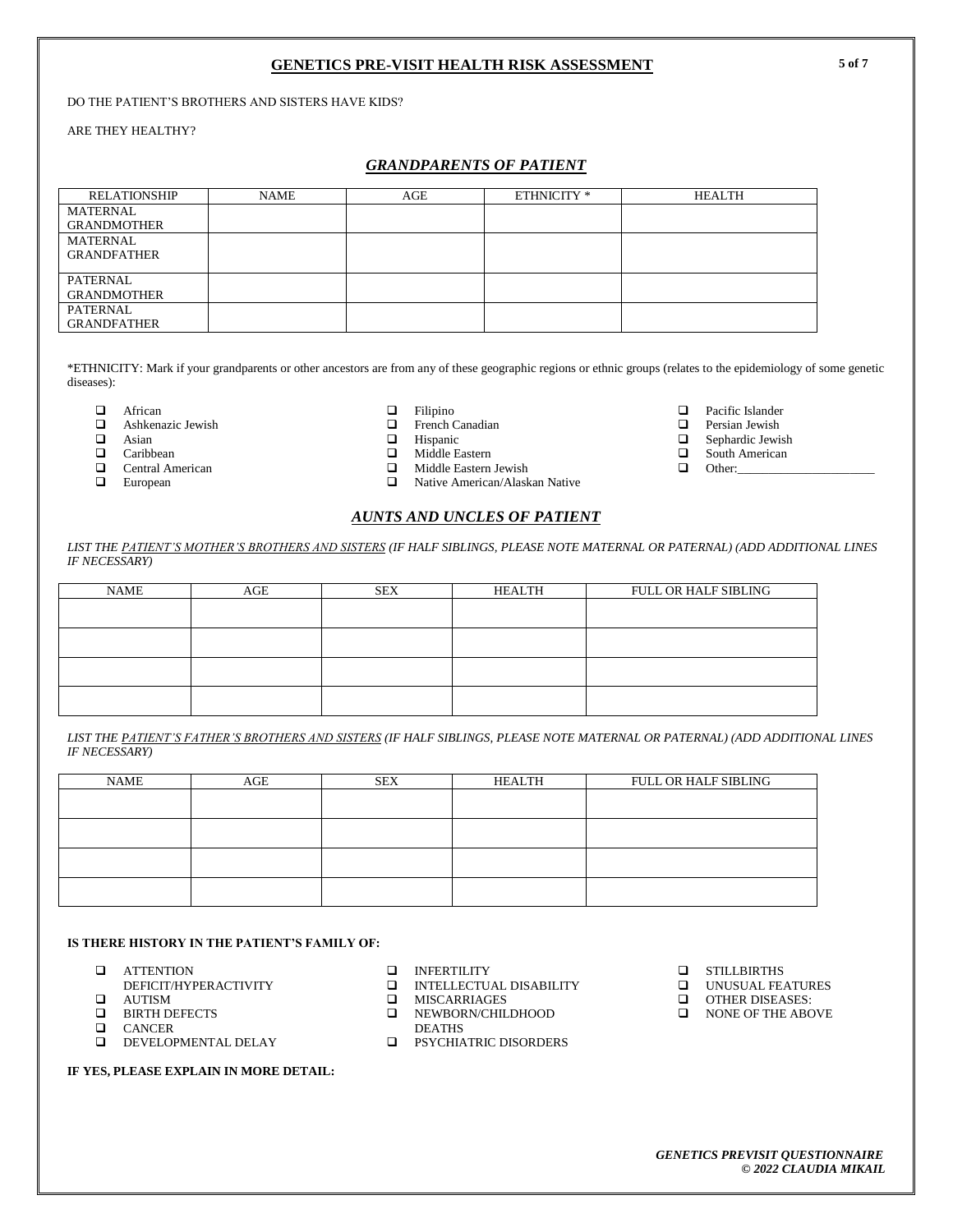DO THE PATIENT'S BROTHERS AND SISTERS HAVE KIDS?

ARE THEY HEALTHY?

# *GRANDPARENTS OF PATIENT*

| <b>RELATIONSHIP</b> | NAME | AGE | ETHNICITY * | <b>HEALTH</b> |
|---------------------|------|-----|-------------|---------------|
| MATERNAL            |      |     |             |               |
| <b>GRANDMOTHER</b>  |      |     |             |               |
| <b>MATERNAL</b>     |      |     |             |               |
| <b>GRANDFATHER</b>  |      |     |             |               |
|                     |      |     |             |               |
| <b>PATERNAL</b>     |      |     |             |               |
| <b>GRANDMOTHER</b>  |      |     |             |               |
| PATERNAL            |      |     |             |               |
| <b>GRANDFATHER</b>  |      |     |             |               |

\*ETHNICITY: Mark if your grandparents or other ancestors are from any of these geographic regions or ethnic groups (relates to the epidemiology of some genetic diseases):

 $\Box$  African  $\Box$  Ashkenazic Jewish  $\Box$ 

 $\Box$  Asian<br> $\Box$  Caribb

- Caribbean
- $\Box$  Central American<br> $\Box$  European
- European

# $\Box$  Filipino<br> $\Box$  French (

 $\Box$  French Canadian<br> $\Box$  Hispanic

- 
- 
- $\Box$  Middle Eastern Jewish<br> $\Box$  Native American/Alask Native American/Alaskan Native

 $\Box$  Pacific Islander<br> $\Box$  Persian Jewish

 $\Box$  Persian Jewish<br> $\Box$  Sephardic Jewis

 $\Box$  Sephardic Jewish<br> $\Box$  South American South American

 $\Box$  Other:

*LIST THE PATIENT'S MOTHER'S BROTHERS AND SISTERS (IF HALF SIBLINGS, PLEASE NOTE MATERNAL OR PATERNAL) (ADD ADDITIONAL LINES IF NECESSARY)*

*AUNTS AND UNCLES OF PATIENT*

| <b>NAME</b> | AGE | <b>SEX</b> | HEALTH | <b>FULL OR HALF SIBLING</b> |
|-------------|-----|------------|--------|-----------------------------|
|             |     |            |        |                             |
|             |     |            |        |                             |
|             |     |            |        |                             |
|             |     |            |        |                             |

*LIST THE PATIENT'S FATHER'S BROTHERS AND SISTERS (IF HALF SIBLINGS, PLEASE NOTE MATERNAL OR PATERNAL) (ADD ADDITIONAL LINES IF NECESSARY)*

| NAME | AGE | <b>SEX</b> | HEALTH | FULL OR HALF SIBLING |
|------|-----|------------|--------|----------------------|
|      |     |            |        |                      |
|      |     |            |        |                      |
|      |     |            |        |                      |
|      |     |            |        |                      |
|      |     |            |        |                      |
|      |     |            |        |                      |

#### **IS THERE HISTORY IN THE PATIENT'S FAMILY OF:**

- **Q** ATTENTION
- DEFICIT/HYPERACTIVITY
- **Q** AUTISM
- **Q** BIRTH DEFECTS<br>**Q** CANCER
- $\Box$  CANCER<br> $\Box$  DEVELOP
- DEVELOPMENTAL DELAY

#### **IF YES, PLEASE EXPLAIN IN MORE DETAIL:**

- **INFERTILITY**<br>**INTELLECTU.**
- INTELLECTUAL DISABILITY
- **O** MISCARRIAGES
- **NEWBORN/CHILDHOOD** DEATHS
- **EXECUTATRIC DISORDERS**
- **Q** STILLBIRTHS
- **UNUSUAL FEATURES**
- **Q** OTHER DISEASES:
- NONE OF THE ABOVE

**5 of 7**

 $\Box$  Hispanic<br> $\Box$  Middle E Middle Eastern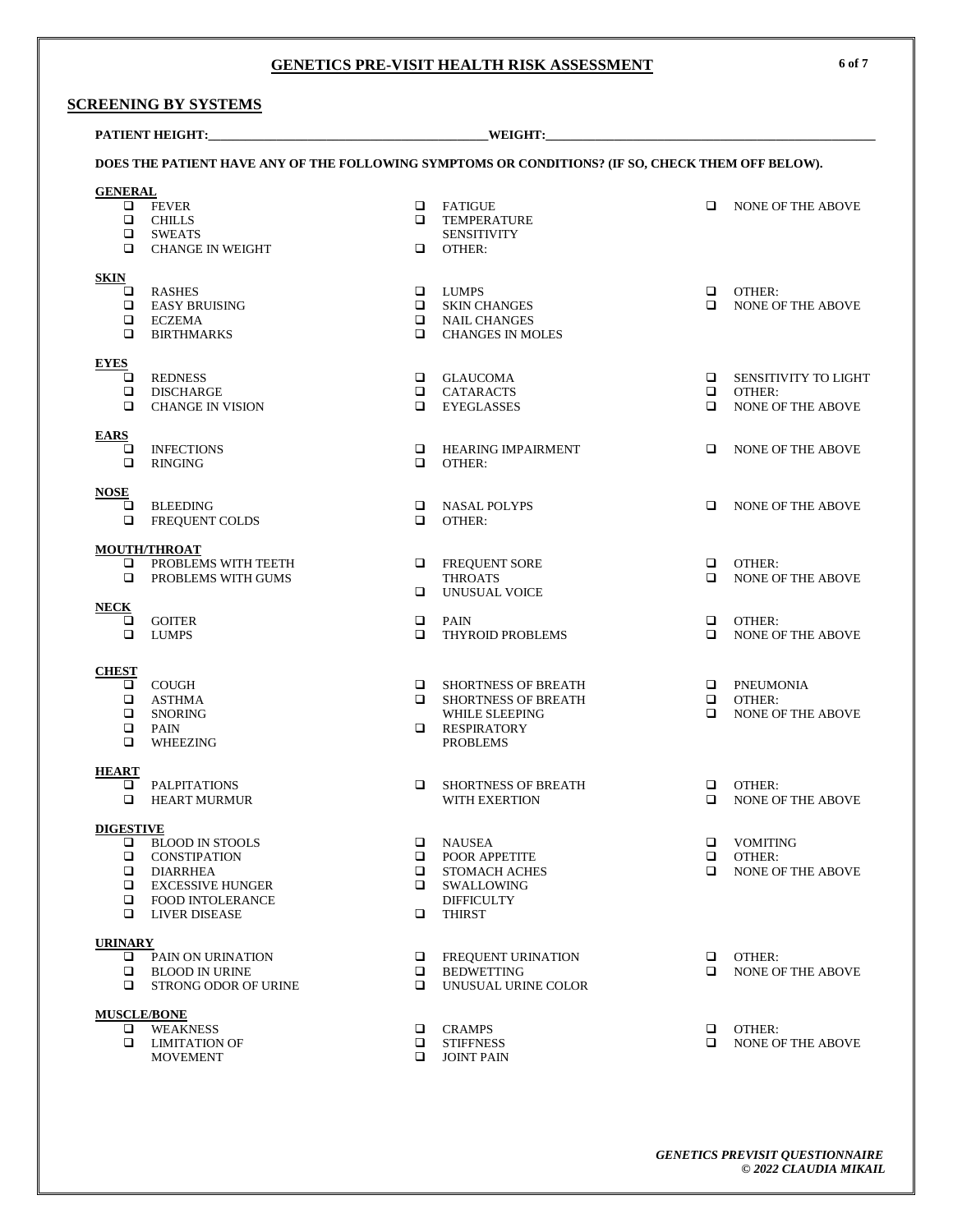# **SCREENING BY SYSTEMS**

| WEIGHT:<br><b>PATIENT HEIGHT:</b>                                                                 |                                                                                                                                                    |                                 |                                                                                                                           |                  |                                                                   |  |
|---------------------------------------------------------------------------------------------------|----------------------------------------------------------------------------------------------------------------------------------------------------|---------------------------------|---------------------------------------------------------------------------------------------------------------------------|------------------|-------------------------------------------------------------------|--|
| DOES THE PATIENT HAVE ANY OF THE FOLLOWING SYMPTOMS OR CONDITIONS? (IF SO, CHECK THEM OFF BELOW). |                                                                                                                                                    |                                 |                                                                                                                           |                  |                                                                   |  |
| <b>GENERAL</b>                                                                                    |                                                                                                                                                    |                                 |                                                                                                                           |                  |                                                                   |  |
|                                                                                                   | $\Box$ FEVER<br>$\Box$ CHILLS<br>$\square$ SWEATS<br>$\Box$ CHANGE IN WEIGHT                                                                       | $\Box$                          | <b>Q</b> FATIGUE<br><b>Q</b> TEMPERATURE<br><b>SENSITIVITY</b><br>OTHER:                                                  | $\Box$           | <b>NONE OF THE ABOVE</b>                                          |  |
| <b>SKIN</b>                                                                                       |                                                                                                                                                    |                                 |                                                                                                                           |                  |                                                                   |  |
| □<br>□<br>$\Box$                                                                                  | <b>RASHES</b><br>EASY BRUISING<br>$\Box$ ECZEMA<br><b>BIRTHMARKS</b>                                                                               | □                               | <b>Q</b> LUMPS<br><b>Q</b> SKIN CHANGES<br><b>Q</b> NAIL CHANGES<br><b>CHANGES IN MOLES</b>                               | ◻                | $\Box$ OTHER:<br><b>NONE OF THE ABOVE</b>                         |  |
| <b>EYES</b>                                                                                       |                                                                                                                                                    |                                 |                                                                                                                           |                  |                                                                   |  |
| o.<br>$\Box$<br>□                                                                                 | REDNESS<br>DISCHARGE<br><b>CHANGE IN VISION</b>                                                                                                    | ▫                               | <b>Q</b> GLAUCOMA<br><b>Q</b> CATARACTS<br>EYEGLASSES                                                                     | $\Box$<br>▫<br>◻ | <b>SENSITIVITY TO LIGHT</b><br>OTHER:<br><b>NONE OF THE ABOVE</b> |  |
| <b>EARS</b>                                                                                       |                                                                                                                                                    |                                 |                                                                                                                           |                  |                                                                   |  |
| ❏<br>□                                                                                            | <b>INFECTIONS</b><br><b>RINGING</b>                                                                                                                | □                               | <b>E HEARING IMPAIRMENT</b><br>OTHER:                                                                                     | ▫                | <b>NONE OF THE ABOVE</b>                                          |  |
| <b>NOSE</b>                                                                                       |                                                                                                                                                    |                                 |                                                                                                                           |                  |                                                                   |  |
| $\Box$<br>❏                                                                                       | BLEEDING<br>FREQUENT COLDS                                                                                                                         | $\Box$<br>▫                     | NASAL POLYPS<br>OTHER:                                                                                                    | $\Box$           | <b>NONE OF THE ABOVE</b>                                          |  |
|                                                                                                   | <b>MOUTH/THROAT</b>                                                                                                                                |                                 |                                                                                                                           |                  |                                                                   |  |
| □                                                                                                 | $\Box$ PROBLEMS WITH TEETH<br>PROBLEMS WITH GUMS                                                                                                   | □                               | <b>Q</b> FREQUENT SORE<br><b>THROATS</b><br>UNUSUAL VOICE                                                                 | $\Box$<br>◻      | OTHER:<br><b>NONE OF THE ABOVE</b>                                |  |
| <b>NECK</b><br>□<br>$\Box$                                                                        | GOITER<br>LUMPS                                                                                                                                    | □<br>$\Box$                     | PAIN<br>THYROID PROBLEMS                                                                                                  | □<br>◻           | OTHER:<br><b>NONE OF THE ABOVE</b>                                |  |
|                                                                                                   |                                                                                                                                                    |                                 |                                                                                                                           |                  |                                                                   |  |
| <b>CHEST</b><br>$\Box$<br>$\Box$                                                                  | $\Box$ COUGH<br>$\Box$ ASTHMA<br><b>Q</b> SNORING<br>PAIN<br>WHEEZING                                                                              |                                 | <b>E SHORTNESS OF BREATH</b><br><b>E SHORTNESS OF BREATH</b><br>WHILE SLEEPING<br><b>Q</b> RESPIRATORY<br><b>PROBLEMS</b> | $\Box$<br>$\Box$ | <b>Q</b> PNEUMONIA<br>OTHER:<br>NONE OF THE ABOVE                 |  |
| <b>HEART</b>                                                                                      |                                                                                                                                                    |                                 |                                                                                                                           |                  |                                                                   |  |
| o.<br>$\Box$                                                                                      | <b>PALPITATIONS</b><br><b>HEART MURMUR</b>                                                                                                         | □                               | <b>SHORTNESS OF BREATH</b><br>WITH EXERTION                                                                               | □<br>$\Box$      | OTHER:<br><b>NONE OF THE ABOVE</b>                                |  |
| <b>DIGESTIVE</b>                                                                                  |                                                                                                                                                    |                                 |                                                                                                                           |                  |                                                                   |  |
| □                                                                                                 | <b>BLOOD IN STOOLS</b><br><b>Q</b> CONSTIPATION<br>$\Box$ DIARRHEA<br>$\Box$ EXCESSIVE HUNGER<br><b>Q</b> FOOD INTOLERANCE<br>$\Box$ LIVER DISEASE | □<br>□<br>$\Box$<br>$\Box$<br>□ | NAUSEA<br><b>POOR APPETITE</b><br><b>STOMACH ACHES</b><br>SWALLOWING<br><b>DIFFICULTY</b><br><b>THIRST</b>                | □<br>▫<br>$\Box$ | VOMITING<br>OTHER:<br>NONE OF THE ABOVE                           |  |
| <b>URINARY</b>                                                                                    |                                                                                                                                                    |                                 |                                                                                                                           |                  |                                                                   |  |
| □<br>□                                                                                            | PAIN ON URINATION<br>$\Box$ BLOOD IN URINE<br><b>STRONG ODOR OF URINE</b>                                                                          | □<br>▫<br>□                     | <b>FREQUENT URINATION</b><br><b>BEDWETTING</b><br>UNUSUAL URINE COLOR                                                     | o<br>◻           | OTHER:<br>NONE OF THE ABOVE                                       |  |
| <b>MUSCLE/BONE</b>                                                                                |                                                                                                                                                    |                                 |                                                                                                                           |                  |                                                                   |  |
| □<br>▫                                                                                            | <b>WEAKNESS</b><br><b>LIMITATION OF</b><br><b>MOVEMENT</b>                                                                                         | □<br>□<br>□                     | CRAMPS<br><b>STIFFNESS</b><br><b>JOINT PAIN</b>                                                                           | □<br>□           | OTHER:<br><b>NONE OF THE ABOVE</b>                                |  |